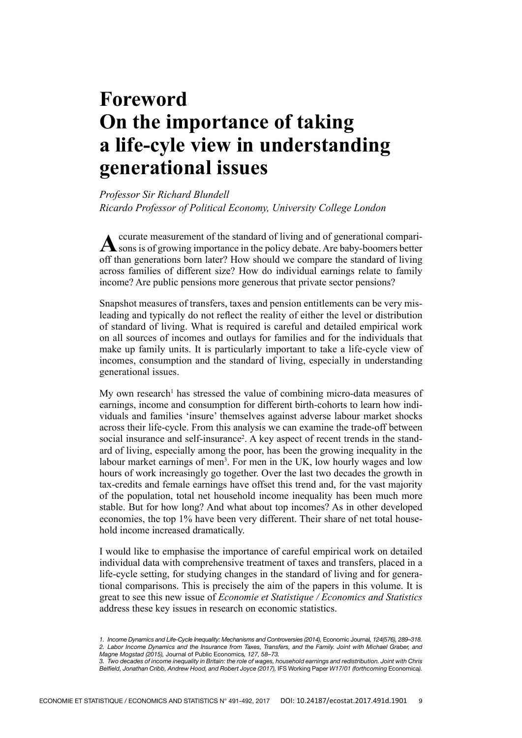## **Foreword On the importance of taking a life-cyle view in understanding generational issues**

*Professor Sir Richard Blundell Ricardo Professor of Political Economy, University College London*

A ccurate measurement of the standard of living and of generational comparisons is of growing importance in the policy debate. Are baby-boomers better off than generations born later? How should we compare the standard of living across families of different size? How do individual earnings relate to family income? Are public pensions more generous that private sector pensions?

Snapshot measures of transfers, taxes and pension entitlements can be very misleading and typically do not reflect the reality of either the level or distribution of standard of living. What is required is careful and detailed empirical work on all sources of incomes and outlays for families and for the individuals that make up family units. It is particularly important to take a life-cycle view of incomes, consumption and the standard of living, especially in understanding generational issues.

My own research<sup>1</sup> has stressed the value of combining micro-data measures of earnings, income and consumption for different birth-cohorts to learn how individuals and families 'insure' themselves against adverse labour market shocks across their life‑cycle. From this analysis we can examine the trade‑off between social insurance and self-insurance<sup>2</sup>. A key aspect of recent trends in the standard of living, especially among the poor, has been the growing inequality in the labour market earnings of men<sup>3</sup>. For men in the UK, low hourly wages and low hours of work increasingly go together. Over the last two decades the growth in tax‑credits and female earnings have offset this trend and, for the vast majority of the population, total net household income inequality has been much more stable. But for how long? And what about top incomes? As in other developed economies, the top 1% have been very different. Their share of net total household income increased dramatically.

I would like to emphasise the importance of careful empirical work on detailed individual data with comprehensive treatment of taxes and transfers, placed in a life-cycle setting, for studying changes in the standard of living and for generational comparisons. This is precisely the aim of the papers in this volume. It is great to see this new issue of *Economie et Statistique / Economics and Statistics*  address these key issues in research on economic statistics.

<sup>1.</sup> Income Dynamics and Life‑Cycle Inequality: Mechanisms and Controversies (2014), Economic Journal, 124(576), 289–318. 2. Labor Income Dynamics and the Insurance from Taxes, Transfers, and the Family. Joint with Michael Graber, and Magne Mogstad (2015), Journal of Public Economics, 127, 58–73.

<sup>3.</sup> Two decades of income inequality in Britain: the role of wages, household earnings and redistribution. Joint with Chris Belfield, Jonathan Cribb, Andrew Hood, and Robert Joyce (2017), IFS Working Paper W17/01 (forthcoming Economica).